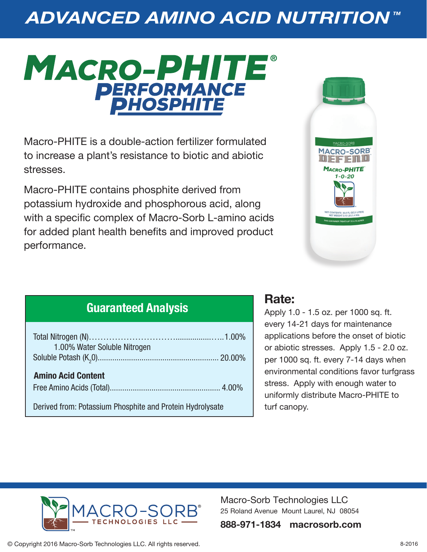# *ADVANCED AMINO ACID NUTRITION ™*

# MACRO-PHITE® **PERFORMANCE**

Macro-PHITE is a double-action fertilizer formulated to increase a plant's resistance to biotic and abiotic stresses.

Macro-PHITE contains phosphite derived from potassium hydroxide and phosphorous acid, along with a specific complex of Macro-Sorb L-amino acids for added plant health benefits and improved product performance.



### **Guaranteed Analysis**

| 1.00% Water Soluble Nitrogen                              |  |
|-----------------------------------------------------------|--|
|                                                           |  |
| <b>Amino Acid Content</b>                                 |  |
| Derived from: Potassium Phosphite and Protein Hydrolysate |  |

### **Rate:**

Apply 1.0 - 1.5 oz. per 1000 sq. ft. every 14-21 days for maintenance applications before the onset of biotic or abiotic stresses. Apply 1.5 - 2.0 oz. per 1000 sq. ft. every 7-14 days when environmental conditions favor turfgrass stress. Apply with enough water to uniformly distribute Macro-PHITE to turf canopy.



Macro-Sorb Technologies LLC 25 Roland Avenue Mount Laurel, NJ 08054

**888-971-1834 macrosorb.com**